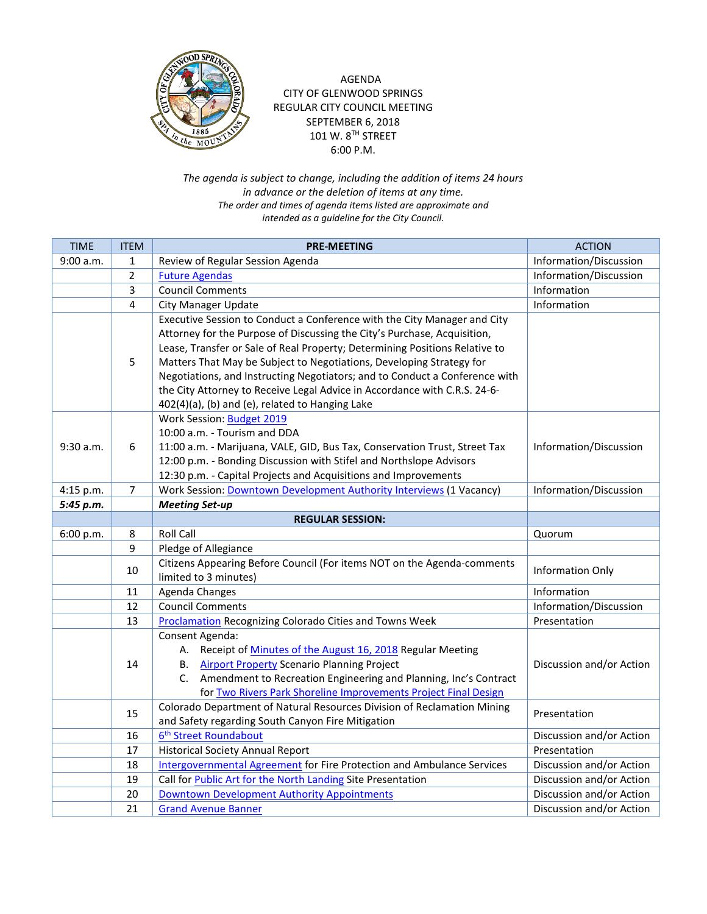

## AGENDA CITY OF GLENWOOD SPRINGS REGULAR CITY COUNCIL MEETING SEPTEMBER 6, 2018 101 W.  $8^{TH}$  STREET 6:00 P.M.

*The agenda is subject to change, including the addition of items 24 hours in advance or the deletion of items at any time. The order and times of agenda items listed are approximate and intended as a guideline for the City Council.*

| <b>TIME</b> | <b>ITEM</b>    | <b>PRE-MEETING</b>                                                            | <b>ACTION</b>            |
|-------------|----------------|-------------------------------------------------------------------------------|--------------------------|
| 9:00 a.m.   | $\mathbf{1}$   | Review of Regular Session Agenda                                              | Information/Discussion   |
|             | $\overline{2}$ | <b>Future Agendas</b>                                                         | Information/Discussion   |
|             | 3              | <b>Council Comments</b>                                                       | Information              |
|             | 4              | <b>City Manager Update</b>                                                    | Information              |
|             |                | Executive Session to Conduct a Conference with the City Manager and City      |                          |
|             |                | Attorney for the Purpose of Discussing the City's Purchase, Acquisition,      |                          |
|             |                | Lease, Transfer or Sale of Real Property; Determining Positions Relative to   |                          |
|             | 5              | Matters That May be Subject to Negotiations, Developing Strategy for          |                          |
|             |                | Negotiations, and Instructing Negotiators; and to Conduct a Conference with   |                          |
|             |                | the City Attorney to Receive Legal Advice in Accordance with C.R.S. 24-6-     |                          |
|             |                | 402(4)(a), (b) and (e), related to Hanging Lake                               |                          |
|             |                | Work Session: Budget 2019                                                     |                          |
|             |                | 10:00 a.m. - Tourism and DDA                                                  |                          |
| 9:30 a.m.   | 6              | 11:00 a.m. - Marijuana, VALE, GID, Bus Tax, Conservation Trust, Street Tax    | Information/Discussion   |
|             |                | 12:00 p.m. - Bonding Discussion with Stifel and Northslope Advisors           |                          |
|             |                | 12:30 p.m. - Capital Projects and Acquisitions and Improvements               |                          |
| 4:15 p.m.   | $\overline{7}$ | Work Session: <b>Downtown Development Authority Interviews</b> (1 Vacancy)    | Information/Discussion   |
| 5:45 p.m.   |                | <b>Meeting Set-up</b>                                                         |                          |
|             |                | <b>REGULAR SESSION:</b>                                                       |                          |
| 6:00 p.m.   | 8              | <b>Roll Call</b>                                                              | Quorum                   |
|             | 9              | Pledge of Allegiance                                                          |                          |
|             | 10             | Citizens Appearing Before Council (For items NOT on the Agenda-comments       | <b>Information Only</b>  |
|             |                | limited to 3 minutes)                                                         |                          |
|             | 11             | Agenda Changes                                                                | Information              |
|             | 12             | <b>Council Comments</b>                                                       | Information/Discussion   |
|             | 13             | <b>Proclamation Recognizing Colorado Cities and Towns Week</b>                | Presentation             |
|             |                | Consent Agenda:                                                               |                          |
|             |                | Receipt of Minutes of the August 16, 2018 Regular Meeting<br>А.               | Discussion and/or Action |
|             | 14             | <b>Airport Property Scenario Planning Project</b><br>В.                       |                          |
|             |                | C. Amendment to Recreation Engineering and Planning, Inc's Contract           |                          |
|             |                | for Two Rivers Park Shoreline Improvements Project Final Design               |                          |
|             | 15             | Colorado Department of Natural Resources Division of Reclamation Mining       | Presentation             |
|             |                | and Safety regarding South Canyon Fire Mitigation                             |                          |
|             | 16             | 6 <sup>th</sup> Street Roundabout                                             | Discussion and/or Action |
|             | 17             | <b>Historical Society Annual Report</b>                                       | Presentation             |
|             | 18             | <b>Intergovernmental Agreement for Fire Protection and Ambulance Services</b> | Discussion and/or Action |
|             | 19             | Call for Public Art for the North Landing Site Presentation                   | Discussion and/or Action |
|             | 20             | <b>Downtown Development Authority Appointments</b>                            | Discussion and/or Action |
|             | 21             | <b>Grand Avenue Banner</b>                                                    | Discussion and/or Action |